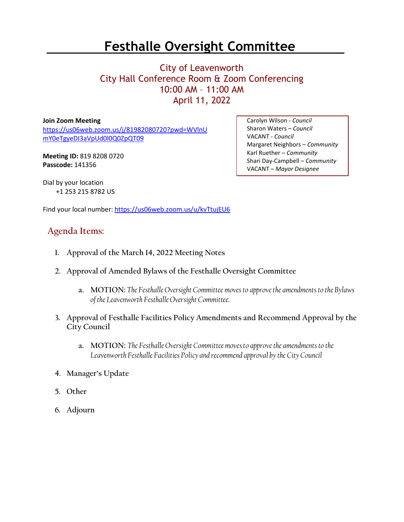## **Festhalle Oversight Committee**

## City of Leavenworth City Hall Conference Room & Zoom Conferencing 10:00 AM – 11:00 AM April 11, 2022

**Join Zoom Meeting** [https://us06web.zoom.us/j/81982080720?pwd=WVlnU](https://us06web.zoom.us/j/81982080720?pwd=WVlnUmY0eTgyeDI3aVpUd0l0Q0ZpQT09) [mY0eTgyeDI3aVpUd0l0Q0ZpQT09](https://us06web.zoom.us/j/81982080720?pwd=WVlnUmY0eTgyeDI3aVpUd0l0Q0ZpQT09)

**Meeting ID:** 819 8208 0720 **Passcode:** 141356

Carolyn Wilson - *Council* Sharon Waters – *Council* VACANT - *Council* Margaret Neighbors – *Community* Karl Ruether – *Community* Shari Day-Campbell – *Community* VACANT – *Mayor Designee*

Dial by your location +1 253 215 8782 US

Find your local number[: https://us06web.zoom.us/u/kvTtujEU6](https://us06web.zoom.us/u/kvTtujEU6)

## **Agenda Items:**

- **1. Approval of the March 14, 2022 Meeting Notes**
- **2. Approval of Amended Bylaws of the Festhalle Oversight Committee**
	- **a. MOTION:** *The Festhalle Oversight Committee moves to approve the amendments to the Bylaws of the Leavenworth Festhalle Oversight Committee.*
- **3. Approval of Festhalle Facilities Policy Amendments and Recommend Approval by the City Council**
	- **a. MOTION:** *The Festhalle Oversight Committee moves to approve the amendments to the Leavenworth Festhalle Facilities Policy and recommend approval by the City Council*
- **4. Manager's Update**
- **5. Other**
- **6. Adjourn**